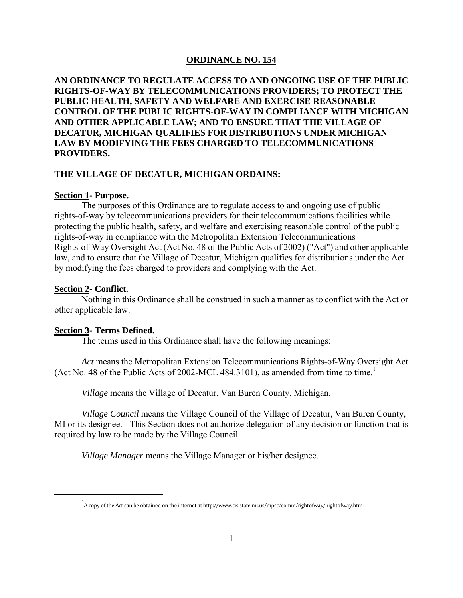# **ORDINANCE NO. 154**

**AN ORDINANCE TO REGULATE ACCESS TO AND ONGOING USE OF THE PUBLIC RIGHTS-OF-WAY BY TELECOMMUNICATIONS PROVIDERS; TO PROTECT THE PUBLIC HEALTH, SAFETY AND WELFARE AND EXERCISE REASONABLE CONTROL OF THE PUBLIC RIGHTS-OF-WAY IN COMPLIANCE WITH MICHIGAN AND OTHER APPLICABLE LAW; AND TO ENSURE THAT THE VILLAGE OF DECATUR, MICHIGAN QUALIFIES FOR DISTRIBUTIONS UNDER MICHIGAN LAW BY MODIFYING THE FEES CHARGED TO TELECOMMUNICATIONS PROVIDERS.** 

# **THE VILLAGE OF DECATUR, MICHIGAN ORDAINS:**

### **Section 1- Purpose.**

The purposes of this Ordinance are to regulate access to and ongoing use of public rights-of-way by telecommunications providers for their telecommunications facilities while protecting the public health, safety, and welfare and exercising reasonable control of the public rights-of-way in compliance with the Metropolitan Extension Telecommunications Rights-of-Way Oversight Act (Act No. 48 of the Public Acts of 2002) ("Act") and other applicable law, and to ensure that the Village of Decatur, Michigan qualifies for distributions under the Act by modifying the fees charged to providers and complying with the Act.

#### **Section 2- Conflict.**

 $\overline{a}$ 

Nothing in this Ordinance shall be construed in such a manner as to conflict with the Act or other applicable law.

#### **Section 3- Terms Defined.**

The terms used in this Ordinance shall have the following meanings:

*Act* means the Metropolitan Extension Telecommunications Rights-of-Way Oversight Act (Act No. 48 of the Public Acts of 2002-MCL 484.3101), as amended from time to time.<sup>1</sup>

*Village* means the Village of Decatur, Van Buren County, Michigan.

*Village Council* means the Village Council of the Village of Decatur, Van Buren County, MI or its designee. This Section does not authorize delegation of any decision or function that is required by law to be made by the Village Council.

*Village Manager* means the Village Manager or his/her designee.

<sup>&</sup>lt;sup>1</sup>A copy of the Act can be obtained on the internet at http://www.cis.state.mi.us/mpsc/comm/rightofway/ rightofway.htm.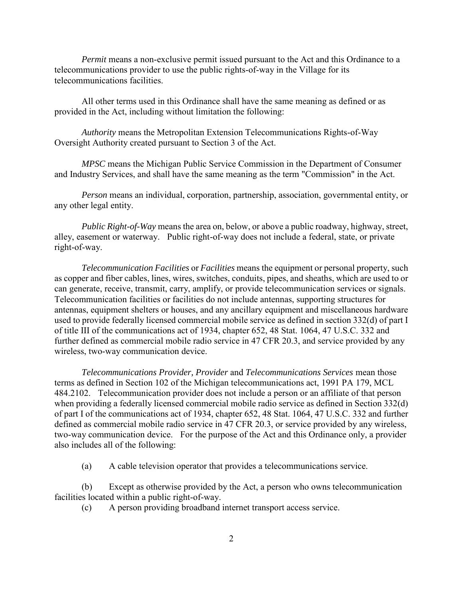*Permit* means a non-exclusive permit issued pursuant to the Act and this Ordinance to a telecommunications provider to use the public rights-of-way in the Village for its telecommunications facilities.

All other terms used in this Ordinance shall have the same meaning as defined or as provided in the Act, including without limitation the following:

*Authority* means the Metropolitan Extension Telecommunications Rights-of-Way Oversight Authority created pursuant to Section 3 of the Act.

*MPSC* means the Michigan Public Service Commission in the Department of Consumer and Industry Services, and shall have the same meaning as the term "Commission" in the Act.

*Person* means an individual, corporation, partnership, association, governmental entity, or any other legal entity.

*Public Right-of-Way* means the area on, below, or above a public roadway, highway, street, alley, easement or waterway. Public right-of-way does not include a federal, state, or private right-of-way.

*Telecommunication Facilities* or *Facilities* means the equipment or personal property, such as copper and fiber cables, lines, wires, switches, conduits, pipes, and sheaths, which are used to or can generate, receive, transmit, carry, amplify, or provide telecommunication services or signals. Telecommunication facilities or facilities do not include antennas, supporting structures for antennas, equipment shelters or houses, and any ancillary equipment and miscellaneous hardware used to provide federally licensed commercial mobile service as defined in section 332(d) of part I of title III of the communications act of 1934, chapter 652, 48 Stat. 1064, 47 U.S.C. 332 and further defined as commercial mobile radio service in 47 CFR 20.3, and service provided by any wireless, two-way communication device.

*Telecommunications Provider, Provider* and *Telecommunications Services* mean those terms as defined in Section 102 of the Michigan telecommunications act, 1991 PA 179, MCL 484.2102. Telecommunication provider does not include a person or an affiliate of that person when providing a federally licensed commercial mobile radio service as defined in Section 332(d) of part I of the communications act of 1934, chapter 652, 48 Stat. 1064, 47 U.S.C. 332 and further defined as commercial mobile radio service in 47 CFR 20.3, or service provided by any wireless, two-way communication device. For the purpose of the Act and this Ordinance only, a provider also includes all of the following:

(a) A cable television operator that provides a telecommunications service.

(b) Except as otherwise provided by the Act, a person who owns telecommunication facilities located within a public right-of-way.

(c) A person providing broadband internet transport access service.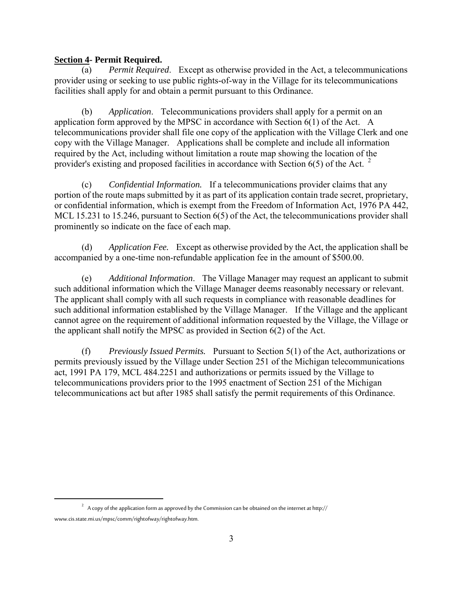# **Section 4- Permit Required.**

(a) *Permit Required*. Except as otherwise provided in the Act, a telecommunications provider using or seeking to use public rights-of-way in the Village for its telecommunications facilities shall apply for and obtain a permit pursuant to this Ordinance.

(b) *Application*. Telecommunications providers shall apply for a permit on an application form approved by the MPSC in accordance with Section 6(1) of the Act. A telecommunications provider shall file one copy of the application with the Village Clerk and one copy with the Village Manager. Applications shall be complete and include all information required by the Act, including without limitation a route map showing the location of the provider's existing and proposed facilities in accordance with Section 6(5) of the Act.<sup>2</sup>

(c) *Confidential Information.* If a telecommunications provider claims that any portion of the route maps submitted by it as part of its application contain trade secret, proprietary, or confidential information, which is exempt from the Freedom of Information Act, 1976 PA 442, MCL 15.231 to 15.246, pursuant to Section 6(5) of the Act, the telecommunications provider shall prominently so indicate on the face of each map.

(d) *Application Fee.* Except as otherwise provided by the Act, the application shall be accompanied by a one-time non-refundable application fee in the amount of \$500.00.

(e) *Additional Information*. The Village Manager may request an applicant to submit such additional information which the Village Manager deems reasonably necessary or relevant. The applicant shall comply with all such requests in compliance with reasonable deadlines for such additional information established by the Village Manager. If the Village and the applicant cannot agree on the requirement of additional information requested by the Village, the Village or the applicant shall notify the MPSC as provided in Section 6(2) of the Act.

(f) *Previously Issued Permits.* Pursuant to Section 5(1) of the Act, authorizations or permits previously issued by the Village under Section 251 of the Michigan telecommunications act, 1991 PA 179, MCL 484.2251 and authorizations or permits issued by the Village to telecommunications providers prior to the 1995 enactment of Section 251 of the Michigan telecommunications act but after 1985 shall satisfy the permit requirements of this Ordinance.

 $\overline{a}$ 

 $^{\text{2}}\,$  A copy of the application form as approved by the Commission can be obtained on the internet at http:// www.cis.state.mi.us/mpsc/comm/rightofway/rightofway.htm.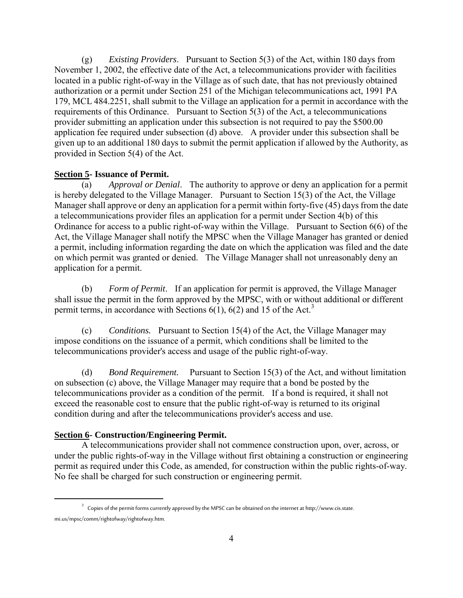(g) *Existing Providers*. Pursuant to Section 5(3) of the Act, within 180 days from November 1, 2002, the effective date of the Act, a telecommunications provider with facilities located in a public right-of-way in the Village as of such date, that has not previously obtained authorization or a permit under Section 251 of the Michigan telecommunications act, 1991 PA 179, MCL 484.2251, shall submit to the Village an application for a permit in accordance with the requirements of this Ordinance. Pursuant to Section 5(3) of the Act, a telecommunications provider submitting an application under this subsection is not required to pay the \$500.00 application fee required under subsection (d) above. A provider under this subsection shall be given up to an additional 180 days to submit the permit application if allowed by the Authority, as provided in Section 5(4) of the Act.

# **Section 5- Issuance of Permit.**

(a) *Approval or Denial*. The authority to approve or deny an application for a permit is hereby delegated to the Village Manager. Pursuant to Section 15(3) of the Act, the Village Manager shall approve or deny an application for a permit within forty-five (45) days from the date a telecommunications provider files an application for a permit under Section 4(b) of this Ordinance for access to a public right-of-way within the Village. Pursuant to Section 6(6) of the Act, the Village Manager shall notify the MPSC when the Village Manager has granted or denied a permit, including information regarding the date on which the application was filed and the date on which permit was granted or denied. The Village Manager shall not unreasonably deny an application for a permit.

(b) *Form of Permit*. If an application for permit is approved, the Village Manager shall issue the permit in the form approved by the MPSC, with or without additional or different permit terms, in accordance with Sections  $6(1)$ ,  $6(2)$  and 15 of the Act.<sup>3</sup>

(c) *Conditions.* Pursuant to Section 15(4) of the Act, the Village Manager may impose conditions on the issuance of a permit, which conditions shall be limited to the telecommunications provider's access and usage of the public right-of-way.

(d) *Bond Requirement.* Pursuant to Section 15(3) of the Act, and without limitation on subsection (c) above, the Village Manager may require that a bond be posted by the telecommunications provider as a condition of the permit. If a bond is required, it shall not exceed the reasonable cost to ensure that the public right-of-way is returned to its original condition during and after the telecommunications provider's access and use.

# **Section 6- Construction/Engineering Permit.**

 $\overline{a}$ 

A telecommunications provider shall not commence construction upon, over, across, or under the public rights-of-way in the Village without first obtaining a construction or engineering permit as required under this Code, as amended, for construction within the public rights-of-way. No fee shall be charged for such construction or engineering permit.

 $^3$  Copies of the permit forms currently approved by the MPSC can be obtained on the internet at http://www.cis.state. mi.us/mpsc/comm/rightofway/rightofway.htm.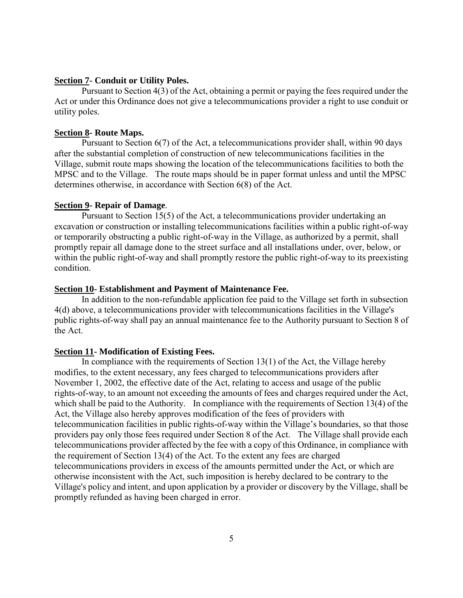### **Section 7- Conduit or Utility Poles.**

Pursuant to Section 4(3) of the Act, obtaining a permit or paying the fees required under the Act or under this Ordinance does not give a telecommunications provider a right to use conduit or utility poles.

# **Section 8- Route Maps.**

Pursuant to Section 6(7) of the Act, a telecommunications provider shall, within 90 days after the substantial completion of construction of new telecommunications facilities in the Village, submit route maps showing the location of the telecommunications facilities to both the MPSC and to the Village. The route maps should be in paper format unless and until the MPSC determines otherwise, in accordance with Section 6(8) of the Act.

## **Section 9- Repair of Damage**.

Pursuant to Section 15(5) of the Act, a telecommunications provider undertaking an excavation or construction or installing telecommunications facilities within a public right-of-way or temporarily obstructing a public right-of-way in the Village, as authorized by a permit, shall promptly repair all damage done to the street surface and all installations under, over, below, or within the public right-of-way and shall promptly restore the public right-of-way to its preexisting condition.

### **Section 10- Establishment and Payment of Maintenance Fee.**

In addition to the non-refundable application fee paid to the Village set forth in subsection 4(d) above, a telecommunications provider with telecommunications facilities in the Village's public rights-of-way shall pay an annual maintenance fee to the Authority pursuant to Section 8 of the Act.

### **Section 11- Modification of Existing Fees.**

In compliance with the requirements of Section  $13(1)$  of the Act, the Village hereby modifies, to the extent necessary, any fees charged to telecommunications providers after November 1, 2002, the effective date of the Act, relating to access and usage of the public rights-of-way, to an amount not exceeding the amounts of fees and charges required under the Act, which shall be paid to the Authority. In compliance with the requirements of Section 13(4) of the Act, the Village also hereby approves modification of the fees of providers with telecommunication facilities in public rights-of-way within the Village's boundaries, so that those providers pay only those fees required under Section 8 of the Act. The Village shall provide each telecommunications provider affected by the fee with a copy of this Ordinance, in compliance with the requirement of Section 13(4) of the Act. To the extent any fees are charged telecommunications providers in excess of the amounts permitted under the Act, or which are otherwise inconsistent with the Act, such imposition is hereby declared to be contrary to the Village's policy and intent, and upon application by a provider or discovery by the Village, shall be promptly refunded as having been charged in error.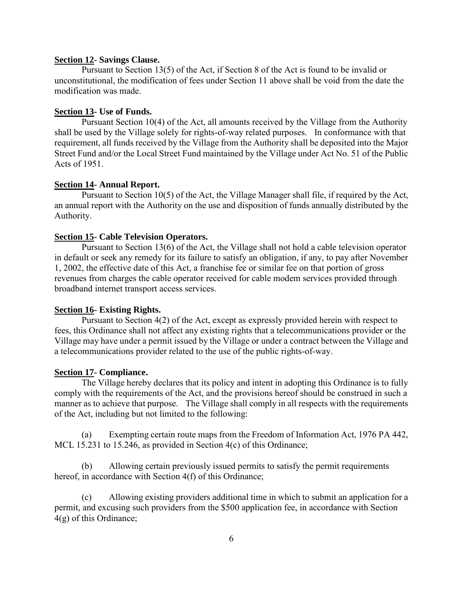# **Section 12- Savings Clause.**

Pursuant to Section 13(5) of the Act, if Section 8 of the Act is found to be invalid or unconstitutional, the modification of fees under Section 11 above shall be void from the date the modification was made.

# **Section 13- Use of Funds.**

Pursuant Section 10(4) of the Act, all amounts received by the Village from the Authority shall be used by the Village solely for rights-of-way related purposes. In conformance with that requirement, all funds received by the Village from the Authority shall be deposited into the Major Street Fund and/or the Local Street Fund maintained by the Village under Act No. 51 of the Public Acts of 1951.

# **Section 14- Annual Report.**

Pursuant to Section 10(5) of the Act, the Village Manager shall file, if required by the Act, an annual report with the Authority on the use and disposition of funds annually distributed by the Authority.

### **Section 15- Cable Television Operators.**

Pursuant to Section 13(6) of the Act, the Village shall not hold a cable television operator in default or seek any remedy for its failure to satisfy an obligation, if any, to pay after November 1, 2002, the effective date of this Act, a franchise fee or similar fee on that portion of gross revenues from charges the cable operator received for cable modem services provided through broadband internet transport access services.

### **Section 16- Existing Rights.**

Pursuant to Section 4(2) of the Act, except as expressly provided herein with respect to fees, this Ordinance shall not affect any existing rights that a telecommunications provider or the Village may have under a permit issued by the Village or under a contract between the Village and a telecommunications provider related to the use of the public rights-of-way.

#### **Section 17- Compliance.**

The Village hereby declares that its policy and intent in adopting this Ordinance is to fully comply with the requirements of the Act, and the provisions hereof should be construed in such a manner as to achieve that purpose. The Village shall comply in all respects with the requirements of the Act, including but not limited to the following:

(a) Exempting certain route maps from the Freedom of Information Act, 1976 PA 442, MCL 15.231 to 15.246, as provided in Section 4(c) of this Ordinance;

(b) Allowing certain previously issued permits to satisfy the permit requirements hereof, in accordance with Section 4(f) of this Ordinance;

(c) Allowing existing providers additional time in which to submit an application for a permit, and excusing such providers from the \$500 application fee, in accordance with Section 4(g) of this Ordinance;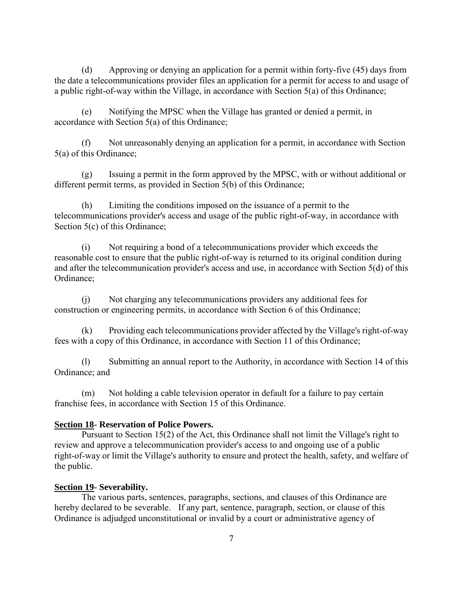(d) Approving or denying an application for a permit within forty-five (45) days from the date a telecommunications provider files an application for a permit for access to and usage of a public right-of-way within the Village, in accordance with Section 5(a) of this Ordinance;

(e) Notifying the MPSC when the Village has granted or denied a permit, in accordance with Section 5(a) of this Ordinance;

(f) Not unreasonably denying an application for a permit, in accordance with Section 5(a) of this Ordinance;

(g) Issuing a permit in the form approved by the MPSC, with or without additional or different permit terms, as provided in Section 5(b) of this Ordinance;

(h) Limiting the conditions imposed on the issuance of a permit to the telecommunications provider's access and usage of the public right-of-way, in accordance with Section 5(c) of this Ordinance;

(i) Not requiring a bond of a telecommunications provider which exceeds the reasonable cost to ensure that the public right-of-way is returned to its original condition during and after the telecommunication provider's access and use, in accordance with Section 5(d) of this Ordinance;

(j) Not charging any telecommunications providers any additional fees for construction or engineering permits, in accordance with Section 6 of this Ordinance;

(k) Providing each telecommunications provider affected by the Village's right-of-way fees with a copy of this Ordinance, in accordance with Section 11 of this Ordinance;

(l) Submitting an annual report to the Authority, in accordance with Section 14 of this Ordinance; and

(m) Not holding a cable television operator in default for a failure to pay certain franchise fees, in accordance with Section 15 of this Ordinance.

# **Section 18- Reservation of Police Powers.**

Pursuant to Section 15(2) of the Act, this Ordinance shall not limit the Village's right to review and approve a telecommunication provider's access to and ongoing use of a public right-of-way or limit the Village's authority to ensure and protect the health, safety, and welfare of the public.

# **Section 19- Severability.**

The various parts, sentences, paragraphs, sections, and clauses of this Ordinance are hereby declared to be severable. If any part, sentence, paragraph, section, or clause of this Ordinance is adjudged unconstitutional or invalid by a court or administrative agency of